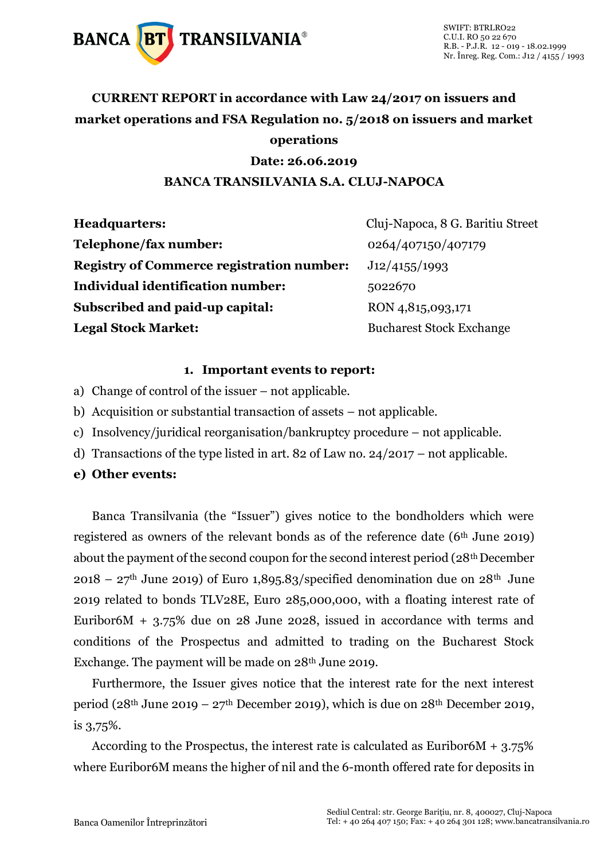

### **CURRENT REPORT in accordance with Law 24/2017 on issuers and market operations and FSA Regulation no. 5/2018 on issuers and market operations**

#### **Date: 26.06.2019**

#### **BANCA TRANSILVANIA S.A. CLUJ-NAPOCA**

| <b>Headquarters:</b>                             | Cluj-Napoca, 8 G. Baritiu Street |
|--------------------------------------------------|----------------------------------|
| Telephone/fax number:                            | 0264/407150/407179               |
| <b>Registry of Commerce registration number:</b> | J12/4155/1993                    |
| Individual identification number:                | 5022670                          |
| Subscribed and paid-up capital:                  | RON 4,815,093,171                |
| <b>Legal Stock Market:</b>                       | <b>Bucharest Stock Exchange</b>  |

#### **1. Important events to report:**

- a) Change of control of the issuer not applicable.
- b) Acquisition or substantial transaction of assets not applicable.
- c) Insolvency/juridical reorganisation/bankruptcy procedure not applicable.
- d) Transactions of the type listed in art. 82 of Law no. 24/2017 not applicable.
- **e) Other events:**

Banca Transilvania (the "Issuer") gives notice to the bondholders which were registered as owners of the relevant bonds as of the reference date  $(6<sup>th</sup>$  June 2019) about the payment of the second coupon for the second interest period (28<sup>th</sup> December  $2018 - 27$ <sup>th</sup> June 2019) of Euro 1,895.83/specified denomination due on  $28$ <sup>th</sup> June 2019 related to bonds TLV28E, Euro 285,000,000, with a floating interest rate of Euribor6M  $+$  3.75% due on 28 June 2028, issued in accordance with terms and conditions of the Prospectus and admitted to trading on the Bucharest Stock Exchange. The payment will be made on 28<sup>th</sup> June 2019.

Furthermore, the Issuer gives notice that the interest rate for the next interest period (28<sup>th</sup> June 2019 – 27<sup>th</sup> December 2019), which is due on 28<sup>th</sup> December 2019, is 3,75%.

According to the Prospectus, the interest rate is calculated as Euribor6M  $+ 3.75\%$ where Euribor6M means the higher of nil and the 6-month offered rate for deposits in